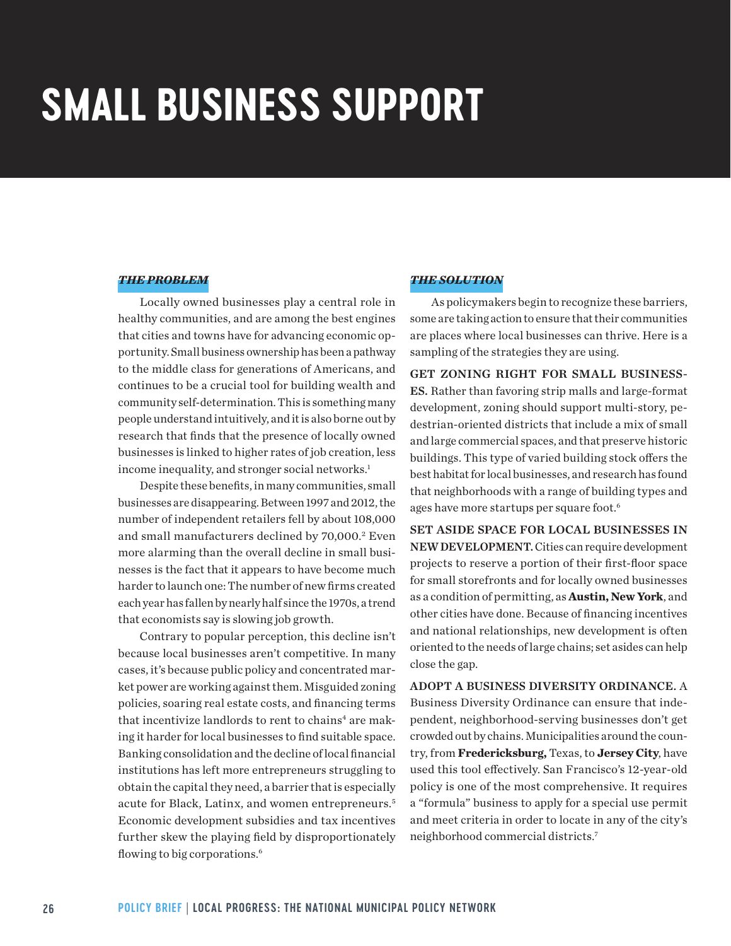# **SMALL BUSINESS SUPPORT**

#### *THE PROBLEM*

Locally owned businesses play a central role in healthy communities, and are among the best engines that cities and towns have for advancing economic opportunity. Small business ownership has been a pathway to the middle class for generations of Americans, and continues to be a crucial tool for building wealth and community self-determination. This is something many people understand intuitively, and it is also borne out by research that finds that the presence of locally owned businesses is linked to higher rates of job creation, less income inequality, and stronger social networks.<sup>1</sup>

Despite these benefits, in many communities, small businesses are disappearing. Between 1997 and 2012, the number of independent retailers fell by about 108,000 and small manufacturers declined by 70,000.<sup>2</sup> Even more alarming than the overall decline in small businesses is the fact that it appears to have become much harder to launch one: The number of new firms created each year has fallen by nearly half since the 1970s, a trend that economists say is slowing job growth.

Contrary to popular perception, this decline isn't because local businesses aren't competitive. In many cases, it's because public policy and concentrated market power are working against them. Misguided zoning policies, soaring real estate costs, and financing terms that incentivize landlords to rent to chains<sup>4</sup> are making it harder for local businesses to find suitable space. Banking consolidation and the decline of local financial institutions has left more entrepreneurs struggling to obtain the capital they need, a barrier that is especially acute for Black, Latinx, and women entrepreneurs.<sup>5</sup> Economic development subsidies and tax incentives further skew the playing field by disproportionately flowing to big corporations.<sup>6</sup>

## *THE SOLUTION*

As policymakers begin to recognize these barriers, some are taking action to ensure that their communities are places where local businesses can thrive. Here is a sampling of the strategies they are using.

GET ZONING RIGHT FOR SMALL BUSINESS-ES. Rather than favoring strip malls and large-format development, zoning should support multi-story, pedestrian-oriented districts that include a mix of small and large commercial spaces, and that preserve historic buildings. This type of varied building stock offers the best habitat for local businesses, and research has found that neighborhoods with a range of building types and ages have more startups per square foot.<sup>6</sup>

SET ASIDE SPACE FOR LOCAL BUSINESSES IN NEW DEVELOPMENT. Cities can require development projects to reserve a portion of their first-floor space for small storefronts and for locally owned businesses as a condition of permitting, as **Austin, New York**, and other cities have done. Because of financing incentives and national relationships, new development is often oriented to the needs of large chains; set asides can help close the gap.

ADOPT A BUSINESS DIVERSITY ORDINANCE. A Business Diversity Ordinance can ensure that independent, neighborhood-serving businesses don't get crowded out by chains. Municipalities around the country, from **Fredericksburg,** Texas, to **Jersey City**, have used this tool effectively. San Francisco's 12-year-old policy is one of the most comprehensive. It requires a "formula" business to apply for a special use permit and meet criteria in order to locate in any of the city's neighborhood commercial districts.<sup>7</sup>